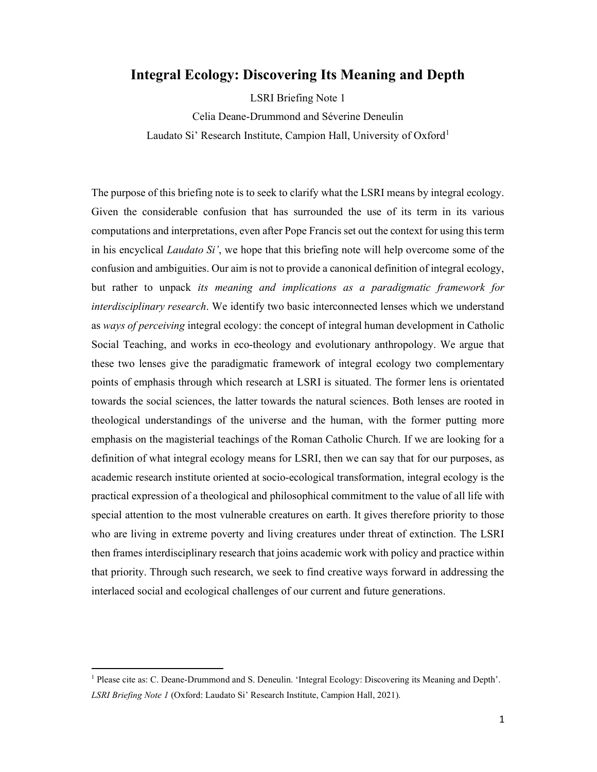# Integral Ecology: Discovering Its Meaning and Depth

LSRI Briefing Note 1

Celia Deane-Drummond and Séverine Deneulin Laudato Si' Research Institute, Campion Hall, University of Oxford<sup>1</sup>

The purpose of this briefing note is to seek to clarify what the LSRI means by integral ecology. Given the considerable confusion that has surrounded the use of its term in its various computations and interpretations, even after Pope Francis set out the context for using this term in his encyclical *Laudato Si'*, we hope that this briefing note will help overcome some of the confusion and ambiguities. Our aim is not to provide a canonical definition of integral ecology, but rather to unpack its meaning and implications as a paradigmatic framework for interdisciplinary research. We identify two basic interconnected lenses which we understand as ways of perceiving integral ecology: the concept of integral human development in Catholic Social Teaching, and works in eco-theology and evolutionary anthropology. We argue that these two lenses give the paradigmatic framework of integral ecology two complementary points of emphasis through which research at LSRI is situated. The former lens is orientated towards the social sciences, the latter towards the natural sciences. Both lenses are rooted in theological understandings of the universe and the human, with the former putting more emphasis on the magisterial teachings of the Roman Catholic Church. If we are looking for a definition of what integral ecology means for LSRI, then we can say that for our purposes, as academic research institute oriented at socio-ecological transformation, integral ecology is the practical expression of a theological and philosophical commitment to the value of all life with special attention to the most vulnerable creatures on earth. It gives therefore priority to those who are living in extreme poverty and living creatures under threat of extinction. The LSRI then frames interdisciplinary research that joins academic work with policy and practice within that priority. Through such research, we seek to find creative ways forward in addressing the interlaced social and ecological challenges of our current and future generations.

<sup>&</sup>lt;sup>1</sup> Please cite as: C. Deane-Drummond and S. Deneulin. 'Integral Ecology: Discovering its Meaning and Depth'. LSRI Briefing Note 1 (Oxford: Laudato Si' Research Institute, Campion Hall, 2021).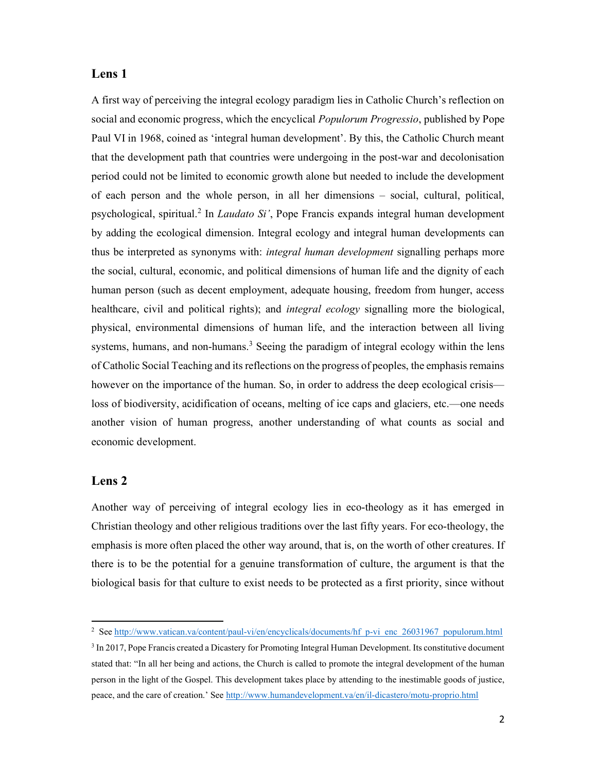#### Lens 1

A first way of perceiving the integral ecology paradigm lies in Catholic Church's reflection on social and economic progress, which the encyclical *Populorum Progressio*, published by Pope Paul VI in 1968, coined as 'integral human development'. By this, the Catholic Church meant that the development path that countries were undergoing in the post-war and decolonisation period could not be limited to economic growth alone but needed to include the development of each person and the whole person, in all her dimensions – social, cultural, political, psychological, spiritual.<sup>2</sup> In *Laudato Si'*, Pope Francis expands integral human development by adding the ecological dimension. Integral ecology and integral human developments can thus be interpreted as synonyms with: *integral human development* signalling perhaps more the social, cultural, economic, and political dimensions of human life and the dignity of each human person (such as decent employment, adequate housing, freedom from hunger, access healthcare, civil and political rights); and *integral ecology* signalling more the biological, physical, environmental dimensions of human life, and the interaction between all living systems, humans, and non-humans.<sup>3</sup> Seeing the paradigm of integral ecology within the lens of Catholic Social Teaching and its reflections on the progress of peoples, the emphasis remains however on the importance of the human. So, in order to address the deep ecological crisis loss of biodiversity, acidification of oceans, melting of ice caps and glaciers, etc.—one needs another vision of human progress, another understanding of what counts as social and economic development.

### Lens 2

Another way of perceiving of integral ecology lies in eco-theology as it has emerged in Christian theology and other religious traditions over the last fifty years. For eco-theology, the emphasis is more often placed the other way around, that is, on the worth of other creatures. If there is to be the potential for a genuine transformation of culture, the argument is that the biological basis for that culture to exist needs to be protected as a first priority, since without

<sup>&</sup>lt;sup>2</sup> See http://www.vatican.va/content/paul-vi/en/encyclicals/documents/hf\_p-vi\_enc\_26031967\_populorum.html

<sup>&</sup>lt;sup>3</sup> In 2017, Pope Francis created a Dicastery for Promoting Integral Human Development. Its constitutive document stated that: "In all her being and actions, the Church is called to promote the integral development of the human person in the light of the Gospel. This development takes place by attending to the inestimable goods of justice, peace, and the care of creation.' See http://www.humandevelopment.va/en/il-dicastero/motu-proprio.html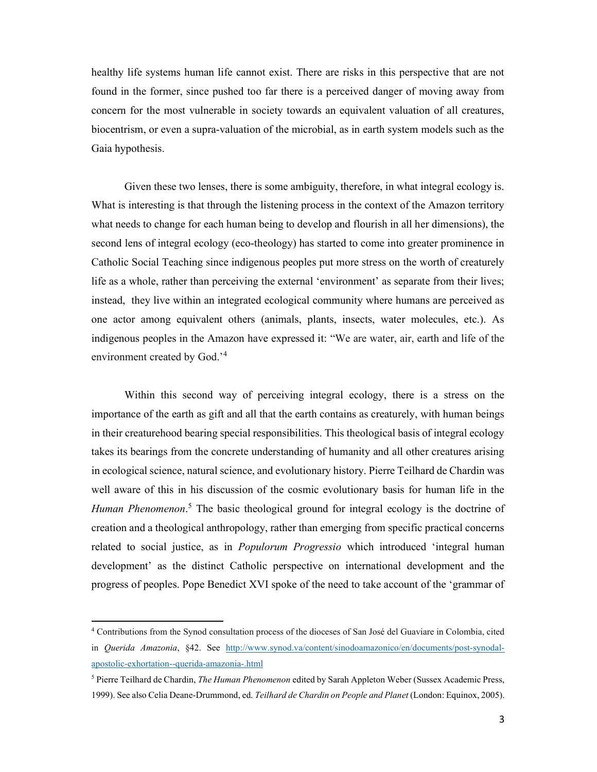healthy life systems human life cannot exist. There are risks in this perspective that are not found in the former, since pushed too far there is a perceived danger of moving away from concern for the most vulnerable in society towards an equivalent valuation of all creatures, biocentrism, or even a supra-valuation of the microbial, as in earth system models such as the Gaia hypothesis.

Given these two lenses, there is some ambiguity, therefore, in what integral ecology is. What is interesting is that through the listening process in the context of the Amazon territory what needs to change for each human being to develop and flourish in all her dimensions), the second lens of integral ecology (eco-theology) has started to come into greater prominence in Catholic Social Teaching since indigenous peoples put more stress on the worth of creaturely life as a whole, rather than perceiving the external 'environment' as separate from their lives; instead, they live within an integrated ecological community where humans are perceived as one actor among equivalent others (animals, plants, insects, water molecules, etc.). As indigenous peoples in the Amazon have expressed it: "We are water, air, earth and life of the environment created by God.<sup>'4</sup>

Within this second way of perceiving integral ecology, there is a stress on the importance of the earth as gift and all that the earth contains as creaturely, with human beings in their creaturehood bearing special responsibilities. This theological basis of integral ecology takes its bearings from the concrete understanding of humanity and all other creatures arising in ecological science, natural science, and evolutionary history. Pierre Teilhard de Chardin was well aware of this in his discussion of the cosmic evolutionary basis for human life in the Human Phenomenon.<sup>5</sup> The basic theological ground for integral ecology is the doctrine of creation and a theological anthropology, rather than emerging from specific practical concerns related to social justice, as in *Populorum Progressio* which introduced 'integral human development' as the distinct Catholic perspective on international development and the progress of peoples. Pope Benedict XVI spoke of the need to take account of the 'grammar of

<sup>4</sup> Contributions from the Synod consultation process of the dioceses of San José del Guaviare in Colombia, cited in Querida Amazonia, §42. See http://www.synod.va/content/sinodoamazonico/en/documents/post-synodalapostolic-exhortation--querida-amazonia-.html

<sup>&</sup>lt;sup>5</sup> Pierre Teilhard de Chardin, *The Human Phenomenon* edited by Sarah Appleton Weber (Sussex Academic Press, 1999). See also Celia Deane-Drummond, ed. Teilhard de Chardin on People and Planet (London: Equinox, 2005).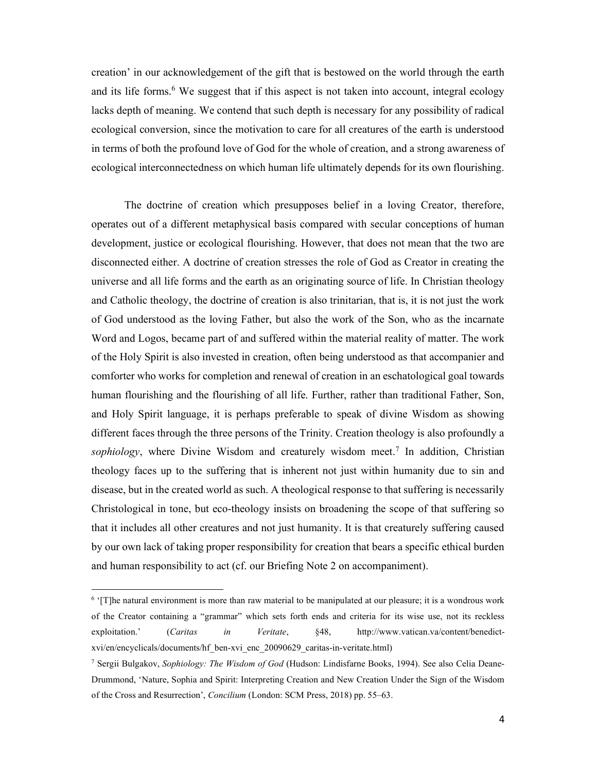creation' in our acknowledgement of the gift that is bestowed on the world through the earth and its life forms.<sup>6</sup> We suggest that if this aspect is not taken into account, integral ecology lacks depth of meaning. We contend that such depth is necessary for any possibility of radical ecological conversion, since the motivation to care for all creatures of the earth is understood in terms of both the profound love of God for the whole of creation, and a strong awareness of ecological interconnectedness on which human life ultimately depends for its own flourishing.

The doctrine of creation which presupposes belief in a loving Creator, therefore, operates out of a different metaphysical basis compared with secular conceptions of human development, justice or ecological flourishing. However, that does not mean that the two are disconnected either. A doctrine of creation stresses the role of God as Creator in creating the universe and all life forms and the earth as an originating source of life. In Christian theology and Catholic theology, the doctrine of creation is also trinitarian, that is, it is not just the work of God understood as the loving Father, but also the work of the Son, who as the incarnate Word and Logos, became part of and suffered within the material reality of matter. The work of the Holy Spirit is also invested in creation, often being understood as that accompanier and comforter who works for completion and renewal of creation in an eschatological goal towards human flourishing and the flourishing of all life. Further, rather than traditional Father, Son, and Holy Spirit language, it is perhaps preferable to speak of divine Wisdom as showing different faces through the three persons of the Trinity. Creation theology is also profoundly a sophiology, where Divine Wisdom and creaturely wisdom meet.<sup>7</sup> In addition, Christian theology faces up to the suffering that is inherent not just within humanity due to sin and disease, but in the created world as such. A theological response to that suffering is necessarily Christological in tone, but eco-theology insists on broadening the scope of that suffering so that it includes all other creatures and not just humanity. It is that creaturely suffering caused by our own lack of taking proper responsibility for creation that bears a specific ethical burden and human responsibility to act (cf. our Briefing Note 2 on accompaniment).

<sup>&</sup>lt;sup>6</sup> '[T]he natural environment is more than raw material to be manipulated at our pleasure; it is a wondrous work of the Creator containing a "grammar" which sets forth ends and criteria for its wise use, not its reckless exploitation.' (Caritas in Veritate, §48, http://www.vatican.va/content/benedictxvi/en/encyclicals/documents/hf\_ben-xvi\_enc\_20090629\_caritas-in-veritate.html)

<sup>&</sup>lt;sup>7</sup> Sergii Bulgakov, Sophiology: The Wisdom of God (Hudson: Lindisfarne Books, 1994). See also Celia Deane-Drummond, 'Nature, Sophia and Spirit: Interpreting Creation and New Creation Under the Sign of the Wisdom of the Cross and Resurrection', Concilium (London: SCM Press, 2018) pp. 55–63.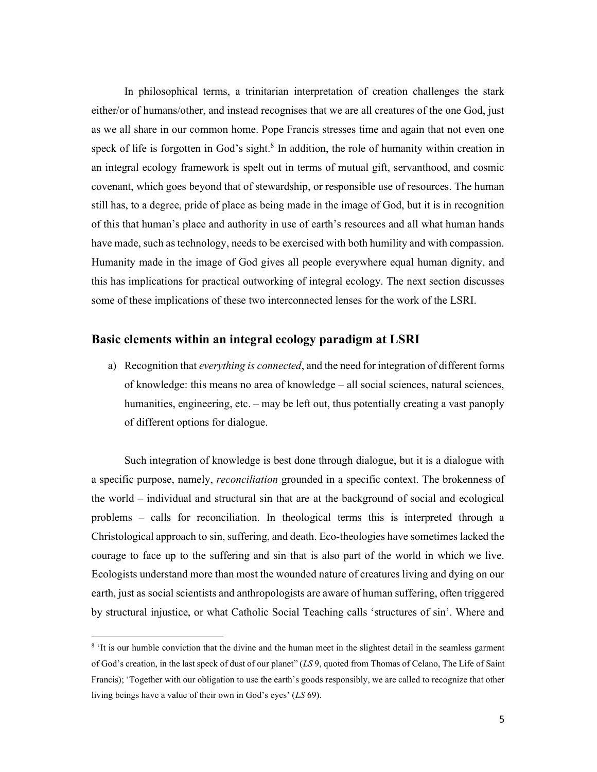In philosophical terms, a trinitarian interpretation of creation challenges the stark either/or of humans/other, and instead recognises that we are all creatures of the one God, just as we all share in our common home. Pope Francis stresses time and again that not even one speck of life is forgotten in God's sight. $8$  In addition, the role of humanity within creation in an integral ecology framework is spelt out in terms of mutual gift, servanthood, and cosmic covenant, which goes beyond that of stewardship, or responsible use of resources. The human still has, to a degree, pride of place as being made in the image of God, but it is in recognition of this that human's place and authority in use of earth's resources and all what human hands have made, such as technology, needs to be exercised with both humility and with compassion. Humanity made in the image of God gives all people everywhere equal human dignity, and this has implications for practical outworking of integral ecology. The next section discusses some of these implications of these two interconnected lenses for the work of the LSRI.

## Basic elements within an integral ecology paradigm at LSRI

a) Recognition that everything is connected, and the need for integration of different forms of knowledge: this means no area of knowledge – all social sciences, natural sciences, humanities, engineering, etc. – may be left out, thus potentially creating a vast panoply of different options for dialogue.

Such integration of knowledge is best done through dialogue, but it is a dialogue with a specific purpose, namely, reconciliation grounded in a specific context. The brokenness of the world – individual and structural sin that are at the background of social and ecological problems – calls for reconciliation. In theological terms this is interpreted through a Christological approach to sin, suffering, and death. Eco-theologies have sometimes lacked the courage to face up to the suffering and sin that is also part of the world in which we live. Ecologists understand more than most the wounded nature of creatures living and dying on our earth, just as social scientists and anthropologists are aware of human suffering, often triggered by structural injustice, or what Catholic Social Teaching calls 'structures of sin'. Where and

<sup>&</sup>lt;sup>8</sup> 'It is our humble conviction that the divine and the human meet in the slightest detail in the seamless garment of God's creation, in the last speck of dust of our planet" (LS 9, quoted from Thomas of Celano, The Life of Saint Francis); 'Together with our obligation to use the earth's goods responsibly, we are called to recognize that other living beings have a value of their own in God's eyes' (LS 69).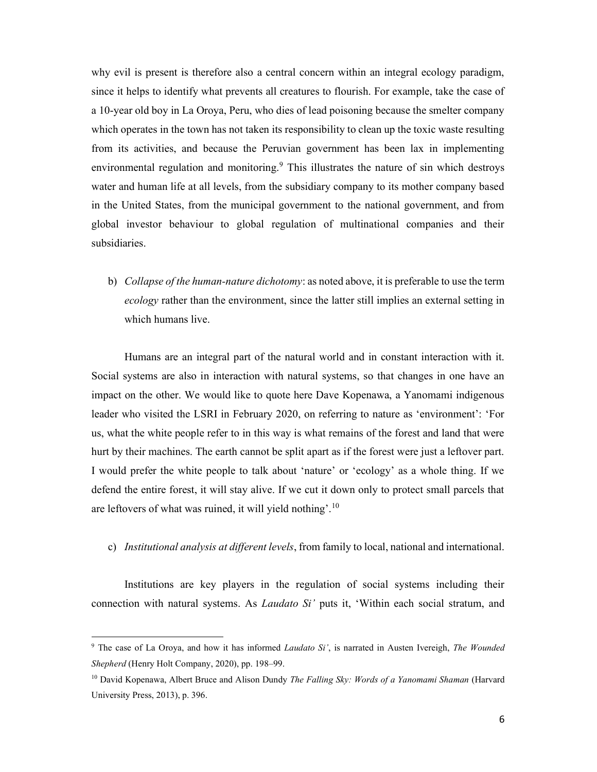why evil is present is therefore also a central concern within an integral ecology paradigm, since it helps to identify what prevents all creatures to flourish. For example, take the case of a 10-year old boy in La Oroya, Peru, who dies of lead poisoning because the smelter company which operates in the town has not taken its responsibility to clean up the toxic waste resulting from its activities, and because the Peruvian government has been lax in implementing environmental regulation and monitoring.<sup>9</sup> This illustrates the nature of sin which destroys water and human life at all levels, from the subsidiary company to its mother company based in the United States, from the municipal government to the national government, and from global investor behaviour to global regulation of multinational companies and their subsidiaries.

b) Collapse of the human-nature dichotomy: as noted above, it is preferable to use the term ecology rather than the environment, since the latter still implies an external setting in which humans live.

Humans are an integral part of the natural world and in constant interaction with it. Social systems are also in interaction with natural systems, so that changes in one have an impact on the other. We would like to quote here Dave Kopenawa, a Yanomami indigenous leader who visited the LSRI in February 2020, on referring to nature as 'environment': 'For us, what the white people refer to in this way is what remains of the forest and land that were hurt by their machines. The earth cannot be split apart as if the forest were just a leftover part. I would prefer the white people to talk about 'nature' or 'ecology' as a whole thing. If we defend the entire forest, it will stay alive. If we cut it down only to protect small parcels that are leftovers of what was ruined, it will yield nothing'.<sup>10</sup>

c) Institutional analysis at different levels, from family to local, national and international.

Institutions are key players in the regulation of social systems including their connection with natural systems. As *Laudato Si'* puts it, 'Within each social stratum, and

<sup>&</sup>lt;sup>9</sup> The case of La Oroya, and how it has informed *Laudato Si'*, is narrated in Austen Ivereigh, *The Wounded* Shepherd (Henry Holt Company, 2020), pp. 198-99.

<sup>&</sup>lt;sup>10</sup> David Kopenawa, Albert Bruce and Alison Dundy *The Falling Sky: Words of a Yanomami Shaman* (Harvard University Press, 2013), p. 396.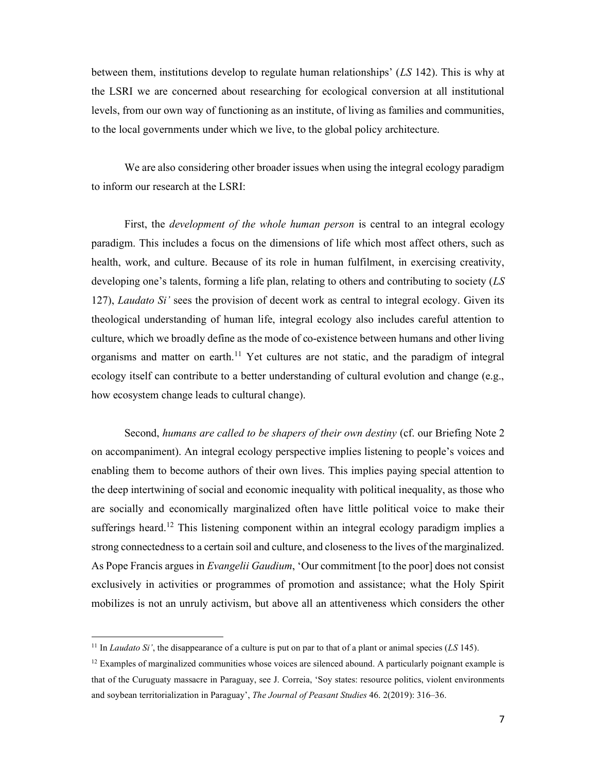between them, institutions develop to regulate human relationships'  $(LS 142)$ . This is why at the LSRI we are concerned about researching for ecological conversion at all institutional levels, from our own way of functioning as an institute, of living as families and communities, to the local governments under which we live, to the global policy architecture.

We are also considering other broader issues when using the integral ecology paradigm to inform our research at the LSRI:

First, the *development of the whole human person* is central to an integral ecology paradigm. This includes a focus on the dimensions of life which most affect others, such as health, work, and culture. Because of its role in human fulfilment, in exercising creativity, developing one's talents, forming a life plan, relating to others and contributing to society  $(LS)$ 127), Laudato Si' sees the provision of decent work as central to integral ecology. Given its theological understanding of human life, integral ecology also includes careful attention to culture, which we broadly define as the mode of co-existence between humans and other living organisms and matter on earth.<sup>11</sup> Yet cultures are not static, and the paradigm of integral ecology itself can contribute to a better understanding of cultural evolution and change (e.g., how ecosystem change leads to cultural change).

Second, humans are called to be shapers of their own destiny (cf. our Briefing Note 2 on accompaniment). An integral ecology perspective implies listening to people's voices and enabling them to become authors of their own lives. This implies paying special attention to the deep intertwining of social and economic inequality with political inequality, as those who are socially and economically marginalized often have little political voice to make their sufferings heard.<sup>12</sup> This listening component within an integral ecology paradigm implies a strong connectedness to a certain soil and culture, and closeness to the lives of the marginalized. As Pope Francis argues in *Evangelii Gaudium*, 'Our commitment [to the poor] does not consist exclusively in activities or programmes of promotion and assistance; what the Holy Spirit mobilizes is not an unruly activism, but above all an attentiveness which considers the other

<sup>&</sup>lt;sup>11</sup> In *Laudato Si'*, the disappearance of a culture is put on par to that of a plant or animal species (LS 145).

 $12$  Examples of marginalized communities whose voices are silenced abound. A particularly poignant example is that of the Curuguaty massacre in Paraguay, see J. Correia, 'Soy states: resource politics, violent environments and soybean territorialization in Paraguay', The Journal of Peasant Studies 46. 2(2019): 316–36.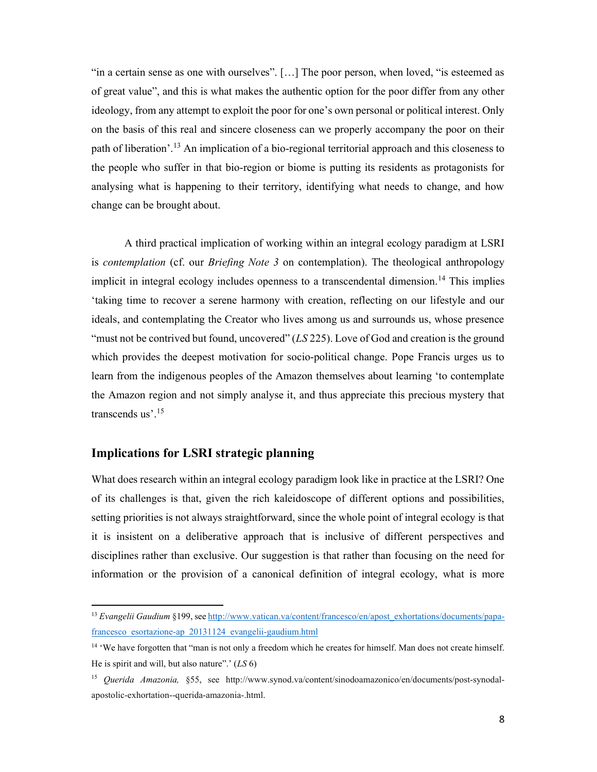"in a certain sense as one with ourselves". […] The poor person, when loved, "is esteemed as of great value", and this is what makes the authentic option for the poor differ from any other ideology, from any attempt to exploit the poor for one's own personal or political interest. Only on the basis of this real and sincere closeness can we properly accompany the poor on their path of liberation'.<sup>13</sup> An implication of a bio-regional territorial approach and this closeness to the people who suffer in that bio-region or biome is putting its residents as protagonists for analysing what is happening to their territory, identifying what needs to change, and how change can be brought about.

A third practical implication of working within an integral ecology paradigm at LSRI is contemplation (cf. our Briefing Note 3 on contemplation). The theological anthropology implicit in integral ecology includes openness to a transcendental dimension.<sup>14</sup> This implies 'taking time to recover a serene harmony with creation, reflecting on our lifestyle and our ideals, and contemplating the Creator who lives among us and surrounds us, whose presence "must not be contrived but found, uncovered"  $(LS 225)$ . Love of God and creation is the ground which provides the deepest motivation for socio-political change. Pope Francis urges us to learn from the indigenous peoples of the Amazon themselves about learning 'to contemplate the Amazon region and not simply analyse it, and thus appreciate this precious mystery that transcends us'.<sup>15</sup>

### Implications for LSRI strategic planning

What does research within an integral ecology paradigm look like in practice at the LSRI? One of its challenges is that, given the rich kaleidoscope of different options and possibilities, setting priorities is not always straightforward, since the whole point of integral ecology is that it is insistent on a deliberative approach that is inclusive of different perspectives and disciplines rather than exclusive. Our suggestion is that rather than focusing on the need for information or the provision of a canonical definition of integral ecology, what is more

<sup>&</sup>lt;sup>13</sup> Evangelii Gaudium §199, see http://www.vatican.va/content/francesco/en/apost\_exhortations/documents/papafrancesco\_esortazione-ap\_20131124\_evangelii-gaudium.html

<sup>&</sup>lt;sup>14</sup> 'We have forgotten that "man is not only a freedom which he creates for himself. Man does not create himself. He is spirit and will, but also nature".'  $(LS 6)$ 

<sup>15</sup> Querida Amazonia, §55, see http://www.synod.va/content/sinodoamazonico/en/documents/post-synodalapostolic-exhortation--querida-amazonia-.html.